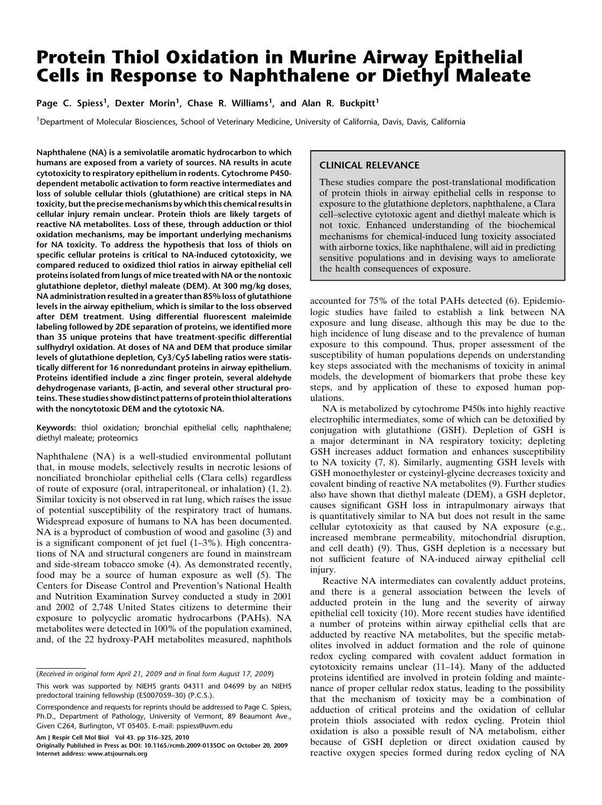# Protein Thiol Oxidation in Murine Airway Epithelial Cells in Response to Naphthalene or Diethyl Maleate

Page C. Spiess<sup>1</sup>, Dexter Morin<sup>1</sup>, Chase R. Williams<sup>1</sup>, and Alan R. Buckpitt<sup>1</sup>

<sup>1</sup> Department of Molecular Biosciences, School of Veterinary Medicine, University of California, Davis, Davis, California

Naphthalene (NA) is a semivolatile aromatic hydrocarbon to which humans are exposed from a variety of sources. NA results in acute cytotoxicity to respiratory epithelium in rodents. Cytochrome P450 dependent metabolic activation to form reactive intermediates and loss of soluble cellular thiols (glutathione) are critical steps in NA toxicity, but the precisemechanisms by which this chemical results in cellular injury remain unclear. Protein thiols are likely targets of reactive NA metabolites. Loss of these, through adduction or thiol oxidation mechanisms, may be important underlying mechanisms for NA toxicity. To address the hypothesis that loss of thiols on specific cellular proteins is critical to NA-induced cytotoxicity, we compared reduced to oxidized thiol ratios in airway epithelial cell proteins isolated from lungs of mice treated with NA or the nontoxic glutathione depletor, diethyl maleate (DEM). At 300 mg/kg doses, NA administration resulted in a greater than 85% loss of glutathione levels in the airway epithelium, which is similar to the loss observed after DEM treatment. Using differential fluorescent maleimide labeling followed by 2DE separation of proteins, we identified more than 35 unique proteins that have treatment-specific differential sulfhydryl oxidation. At doses of NA and DEM that produce similar levels of glutathione depletion, Cy3/Cy5 labeling ratios were statistically different for 16 nonredundant proteins in airway epithelium. Proteins identified include a zinc finger protein, several aldehyde dehydrogenase variants,  $\beta$ -actin, and several other structural proteins. These studies show distinct patterns of protein thiol alterations with the noncytotoxic DEM and the cytotoxic NA.

Keywords: thiol oxidation; bronchial epithelial cells; naphthalene; diethyl maleate; proteomics

Naphthalene (NA) is a well-studied environmental pollutant that, in mouse models, selectively results in necrotic lesions of nonciliated bronchiolar epithelial cells (Clara cells) regardless of route of exposure (oral, intraperitoneal, or inhalation) (1, 2). Similar toxicity is not observed in rat lung, which raises the issue of potential susceptibility of the respiratory tract of humans. Widespread exposure of humans to NA has been documented. NA is a byproduct of combustion of wood and gasoline (3) and is a significant component of jet fuel (1–3%). High concentrations of NA and structural congeners are found in mainstream and side-stream tobacco smoke (4). As demonstrated recently, food may be a source of human exposure as well (5). The Centers for Disease Control and Prevention's National Health and Nutrition Examination Survey conducted a study in 2001 and 2002 of 2,748 United States citizens to determine their exposure to polycyclic aromatic hydrocarbons (PAHs). NA metabolites were detected in 100% of the population examined, and, of the 22 hydroxy-PAH metabolites measured, naphthols

Am J Respir Cell Mol Biol Vol 43. pp 316–325, 2010

# CLINICAL RELEVANCE

These studies compare the post-translational modification of protein thiols in airway epithelial cells in response to exposure to the glutathione depletors, naphthalene, a Clara cell–selective cytotoxic agent and diethyl maleate which is not toxic. Enhanced understanding of the biochemical mechanisms for chemical-induced lung toxicity associated with airborne toxics, like naphthalene, will aid in predicting sensitive populations and in devising ways to ameliorate the health consequences of exposure.

accounted for 75% of the total PAHs detected (6). Epidemiologic studies have failed to establish a link between NA exposure and lung disease, although this may be due to the high incidence of lung disease and to the prevalence of human exposure to this compound. Thus, proper assessment of the susceptibility of human populations depends on understanding key steps associated with the mechanisms of toxicity in animal models, the development of biomarkers that probe these key steps, and by application of these to exposed human populations.

NA is metabolized by cytochrome P450s into highly reactive electrophilic intermediates, some of which can be detoxified by conjugation with glutathione (GSH). Depletion of GSH is a major determinant in NA respiratory toxicity; depleting GSH increases adduct formation and enhances susceptibility to NA toxicity (7, 8). Similarly, augmenting GSH levels with GSH monoethylester or cysteinyl-glycine decreases toxicity and covalent binding of reactive NA metabolites (9). Further studies also have shown that diethyl maleate (DEM), a GSH depletor, causes significant GSH loss in intrapulmonary airways that is quantitatively similar to NA but does not result in the same cellular cytotoxicity as that caused by NA exposure (e.g., increased membrane permeability, mitochondrial disruption, and cell death) (9). Thus, GSH depletion is a necessary but not sufficient feature of NA-induced airway epithelial cell injury.

Reactive NA intermediates can covalently adduct proteins, and there is a general association between the levels of adducted protein in the lung and the severity of airway epithelial cell toxicity (10). More recent studies have identified a number of proteins within airway epithelial cells that are adducted by reactive NA metabolites, but the specific metabolites involved in adduct formation and the role of quinone redox cycling compared with covalent adduct formation in cytotoxicity remains unclear (11–14). Many of the adducted proteins identified are involved in protein folding and maintenance of proper cellular redox status, leading to the possibility that the mechanism of toxicity may be a combination of adduction of critical proteins and the oxidation of cellular protein thiols associated with redox cycling. Protein thiol oxidation is also a possible result of NA metabolism, either because of GSH depletion or direct oxidation caused by reactive oxygen species formed during redox cycling of NA

<sup>(</sup>Received in original form April 21, 2009 and in final form August 17, 2009)

This work was supported by NIEHS grants 04311 and 04699 by an NIEHS predoctoral training fellowship (ES007059–30) (P.C.S.).

Correspondence and requests for reprints should be addressed to Page C. Spiess, Ph.D., Department of Pathology, University of Vermont, 89 Beaumont Ave., Given C264, Burlington, VT 05405. E-mail: pspiess@uvm.edu

Originally Published in Press as DOI: 10.1165/rcmb.2009-0135OC on October 20, 2009 Internet address: www.atsjournals.org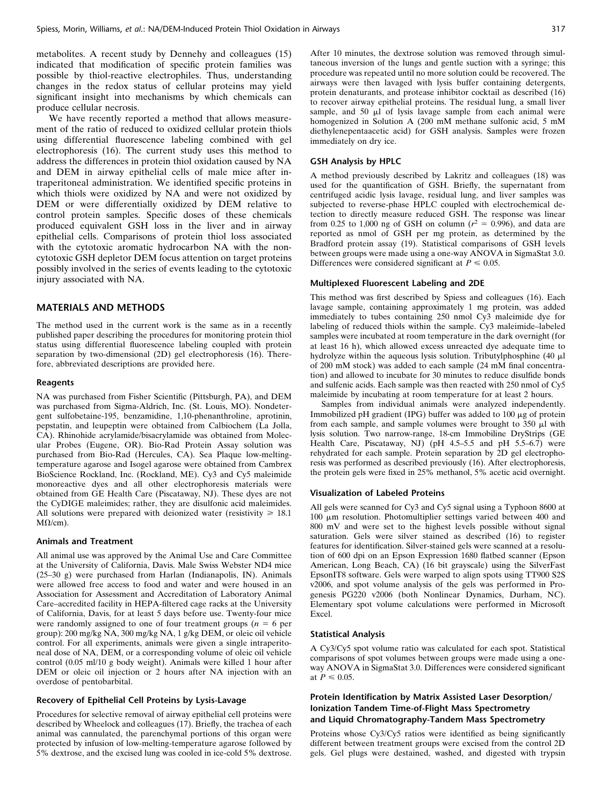metabolites. A recent study by Dennehy and colleagues (15) indicated that modification of specific protein families was possible by thiol-reactive electrophiles. Thus, understanding changes in the redox status of cellular proteins may yield significant insight into mechanisms by which chemicals can produce cellular necrosis.

We have recently reported a method that allows measurement of the ratio of reduced to oxidized cellular protein thiols using differential fluorescence labeling combined with gel electrophoresis (16). The current study uses this method to address the differences in protein thiol oxidation caused by NA and DEM in airway epithelial cells of male mice after intraperitoneal administration. We identified specific proteins in which thiols were oxidized by NA and were not oxidized by DEM or were differentially oxidized by DEM relative to control protein samples. Specific doses of these chemicals produced equivalent GSH loss in the liver and in airway epithelial cells. Comparisons of protein thiol loss associated with the cytotoxic aromatic hydrocarbon NA with the noncytotoxic GSH depletor DEM focus attention on target proteins possibly involved in the series of events leading to the cytotoxic injury associated with NA.

## MATERIALS AND METHODS

The method used in the current work is the same as in a recently published paper describing the procedures for monitoring protein thiol status using differential fluorescence labeling coupled with protein separation by two-dimensional (2D) gel electrophoresis (16). Therefore, abbreviated descriptions are provided here.

#### Reagents

NA was purchased from Fisher Scientific (Pittsburgh, PA), and DEM was purchased from Sigma-Aldrich, Inc. (St. Louis, MO). Nondetergent sulfobetaine-195, benzamidine, 1,10-phenanthroline, aprotinin, pepstatin, and leupeptin were obtained from Calbiochem (La Jolla, CA). Rhinohide acrylamide/bisacrylamide was obtained from Molecular Probes (Eugene, OR). Bio-Rad Protein Assay solution was purchased from Bio-Rad (Hercules, CA). Sea Plaque low-meltingtemperature agarose and Isogel agarose were obtained from Cambrex BioScience Rockland, Inc. (Rockland, ME). Cy3 and Cy5 maleimide monoreactive dyes and all other electrophoresis materials were obtained from GE Health Care (Piscataway, NJ). These dyes are not the CyDIGE maleimides; rather, they are disulfonic acid maleimides. All solutions were prepared with deionized water (resistivity  $\geq 18.1$ )  $M\Omega$ /cm).

### Animals and Treatment

All animal use was approved by the Animal Use and Care Committee at the University of California, Davis. Male Swiss Webster ND4 mice (25–30 g) were purchased from Harlan (Indianapolis, IN). Animals were allowed free access to food and water and were housed in an Association for Assessment and Accreditation of Laboratory Animal Care–accredited facility in HEPA-filtered cage racks at the University of California, Davis, for at least 5 days before use. Twenty-four mice were randomly assigned to one of four treatment groups ( $n = 6$  per group): 200 mg/kg NA, 300 mg/kg NA, 1 g/kg DEM, or oleic oil vehicle control. For all experiments, animals were given a single intraperitoneal dose of NA, DEM, or a corresponding volume of oleic oil vehicle control (0.05 ml/10 g body weight). Animals were killed 1 hour after DEM or oleic oil injection or 2 hours after NA injection with an overdose of pentobarbital.

## Recovery of Epithelial Cell Proteins by Lysis-Lavage

Procedures for selective removal of airway epithelial cell proteins were described by Wheelock and colleagues (17). Briefly, the trachea of each animal was cannulated, the parenchymal portions of this organ were protected by infusion of low-melting-temperature agarose followed by 5% dextrose, and the excised lung was cooled in ice-cold 5% dextrose.

After 10 minutes, the dextrose solution was removed through simultaneous inversion of the lungs and gentle suction with a syringe; this procedure was repeated until no more solution could be recovered. The airways were then lavaged with lysis buffer containing detergents, protein denaturants, and protease inhibitor cocktail as described (16) to recover airway epithelial proteins. The residual lung, a small liver sample, and 50  $\mu$ l of lysis lavage sample from each animal were homogenized in Solution A (200 mM methane sulfonic acid, 5 mM diethylenepentaacetic acid) for GSH analysis. Samples were frozen immediately on dry ice.

#### GSH Analysis by HPLC

A method previously described by Lakritz and colleagues (18) was used for the quantification of GSH. Briefly, the supernatant from centrifuged acidic lysis lavage, residual lung, and liver samples was subjected to reverse-phase HPLC coupled with electrochemical detection to directly measure reduced GSH. The response was linear from 0.25 to 1,000 ng of GSH on column ( $r^2 = 0.996$ ), and data are reported as nmol of GSH per mg protein, as determined by the Bradford protein assay (19). Statistical comparisons of GSH levels between groups were made using a one-way ANOVA in SigmaStat 3.0. Differences were considered significant at  $P \le 0.05$ .

## Multiplexed Fluorescent Labeling and 2DE

This method was first described by Spiess and colleagues (16). Each lavage sample, containing approximately 1 mg protein, was added immediately to tubes containing 250 nmol Cy3 maleimide dye for labeling of reduced thiols within the sample. Cy3 maleimide–labeled samples were incubated at room temperature in the dark overnight (for at least 16 h), which allowed excess unreacted dye adequate time to hydrolyze within the aqueous lysis solution. Tributylphosphine  $(40 \mu l)$ of 200 mM stock) was added to each sample (24 mM final concentration) and allowed to incubate for 30 minutes to reduce disulfide bonds and sulfenic acids. Each sample was then reacted with 250 nmol of Cy5 maleimide by incubating at room temperature for at least 2 hours.

Samples from individual animals were analyzed independently. Immobilized pH gradient (IPG) buffer was added to  $100 \mu$ g of protein from each sample, and sample volumes were brought to  $350 \mu l$  with lysis solution. Two narrow-range, 18-cm Immobiline DryStrips (GE Health Care, Piscataway, NJ) (pH 4.5–5.5 and pH 5.5–6.7) were rehydrated for each sample. Protein separation by 2D gel electrophoresis was performed as described previously (16). After electrophoresis, the protein gels were fixed in 25% methanol, 5% acetic acid overnight.

#### Visualization of Labeled Proteins

All gels were scanned for Cy3 and Cy5 signal using a Typhoon 8600 at 100 μm resolution. Photomultiplier settings varied between 400 and 800 mV and were set to the highest levels possible without signal saturation. Gels were silver stained as described (16) to register features for identification. Silver-stained gels were scanned at a resolution of 600 dpi on an Epson Expression 1680 flatbed scanner (Epson American, Long Beach, CA) (16 bit grayscale) using the SilverFast EpsonIT8 software. Gels were warped to align spots using TT900 S2S v2006, and spot volume analysis of the gels was performed in Progenesis PG220 v2006 (both Nonlinear Dynamics, Durham, NC). Elementary spot volume calculations were performed in Microsoft Excel.

#### Statistical Analysis

A Cy3/Cy5 spot volume ratio was calculated for each spot. Statistical comparisons of spot volumes between groups were made using a oneway ANOVA in SigmaStat 3.0. Differences were considered significant at  $P \leq 0.05$ .

# Protein Identification by Matrix Assisted Laser Desorption/ Ionization Tandem Time-of-Flight Mass Spectrometry and Liquid Chromatography-Tandem Mass Spectrometry

Proteins whose Cy3/Cy5 ratios were identified as being significantly different between treatment groups were excised from the control 2D gels. Gel plugs were destained, washed, and digested with trypsin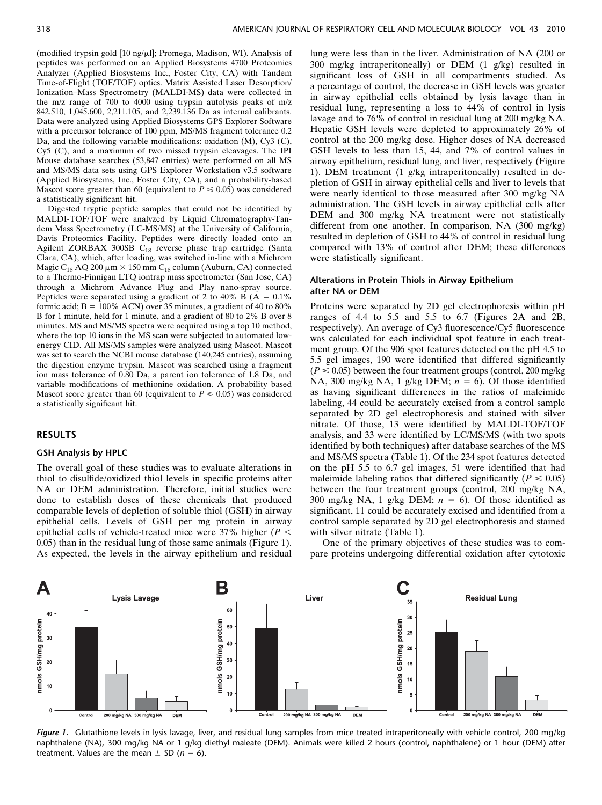(modified trypsin gold  $[10 \text{ ng/µl}]$ ; Promega, Madison, WI). Analysis of peptides was performed on an Applied Biosystems 4700 Proteomics Analyzer (Applied Biosystems Inc., Foster City, CA) with Tandem Time-of-Flight (TOF/TOF) optics. Matrix Assisted Laser Desorption/ Ionization–Mass Spectrometry (MALDI-MS) data were collected in the m/z range of 700 to 4000 using trypsin autolysis peaks of m/z 842.510, 1,045.600, 2,211.105, and 2,239.136 Da as internal calibrants. Data were analyzed using Applied Biosystems GPS Explorer Software with a precursor tolerance of 100 ppm, MS/MS fragment tolerance 0.2 Da, and the following variable modifications: oxidation (M), Cy3 (C), Cy5 (C), and a maximum of two missed trypsin cleavages. The IPI Mouse database searches (53,847 entries) were performed on all MS and MS/MS data sets using GPS Explorer Workstation v3.5 software (Applied Biosystems, Inc., Foster City, CA), and a probability-based Mascot score greater than 60 (equivalent to  $P \le 0.05$ ) was considered a statistically significant hit.

Digested tryptic peptide samples that could not be identified by MALDI-TOF/TOF were analyzed by Liquid Chromatography-Tandem Mass Spectrometry (LC-MS/MS) at the University of California, Davis Proteomics Facility. Peptides were directly loaded onto an Agilent ZORBAX 300SB C18 reverse phase trap cartridge (Santa Clara, CA), which, after loading, was switched in-line with a Michrom Magic  $C_{18}$  AQ 200  $\mu$ m  $\times$  150 mm  $C_{18}$  column (Auburn, CA) connected to a Thermo-Finnigan LTQ iontrap mass spectrometer (San Jose, CA) through a Michrom Advance Plug and Play nano-spray source. Peptides were separated using a gradient of 2 to 40% B ( $A = 0.1\%$ ) formic acid;  $B = 100\%$  ACN) over 35 minutes, a gradient of 40 to 80% B for 1 minute, held for 1 minute, and a gradient of 80 to 2% B over 8 minutes. MS and MS/MS spectra were acquired using a top 10 method, where the top 10 ions in the MS scan were subjected to automated lowenergy CID. All MS/MS samples were analyzed using Mascot. Mascot was set to search the NCBI mouse database (140,245 entries), assuming the digestion enzyme trypsin. Mascot was searched using a fragment ion mass tolerance of 0.80 Da, a parent ion tolerance of 1.8 Da, and variable modifications of methionine oxidation. A probability based Mascot score greater than 60 (equivalent to  $P \le 0.05$ ) was considered a statistically significant hit.

# RESULTS

## GSH Analysis by HPLC

The overall goal of these studies was to evaluate alterations in thiol to disulfide/oxidized thiol levels in specific proteins after NA or DEM administration. Therefore, initial studies were done to establish doses of these chemicals that produced comparable levels of depletion of soluble thiol (GSH) in airway epithelial cells. Levels of GSH per mg protein in airway epithelial cells of vehicle-treated mice were 37% higher ( $P <$ 0.05) than in the residual lung of those same animals (Figure 1). As expected, the levels in the airway epithelium and residual

lung were less than in the liver. Administration of NA (200 or 300 mg/kg intraperitoneally) or DEM (1 g/kg) resulted in significant loss of GSH in all compartments studied. As a percentage of control, the decrease in GSH levels was greater in airway epithelial cells obtained by lysis lavage than in residual lung, representing a loss to 44% of control in lysis lavage and to 76% of control in residual lung at 200 mg/kg NA. Hepatic GSH levels were depleted to approximately 26% of control at the 200 mg/kg dose. Higher doses of NA decreased GSH levels to less than 15, 44, and 7% of control values in airway epithelium, residual lung, and liver, respectively (Figure 1). DEM treatment (1 g/kg intraperitoneally) resulted in depletion of GSH in airway epithelial cells and liver to levels that were nearly identical to those measured after 300 mg/kg NA administration. The GSH levels in airway epithelial cells after DEM and 300 mg/kg NA treatment were not statistically different from one another. In comparison, NA (300 mg/kg) resulted in depletion of GSH to 44% of control in residual lung compared with 13% of control after DEM; these differences were statistically significant.

## Alterations in Protein Thiols in Airway Epithelium after NA or DEM

Proteins were separated by 2D gel electrophoresis within pH ranges of 4.4 to 5.5 and 5.5 to 6.7 (Figures 2A and 2B, respectively). An average of Cy3 fluorescence/Cy5 fluorescence was calculated for each individual spot feature in each treatment group. Of the 906 spot features detected on the pH 4.5 to 5.5 gel images, 190 were identified that differed significantly  $(P \le 0.05)$  between the four treatment groups (control, 200 mg/kg) NA, 300 mg/kg NA, 1 g/kg DEM;  $n = 6$ ). Of those identified as having significant differences in the ratios of maleimide labeling, 44 could be accurately excised from a control sample separated by 2D gel electrophoresis and stained with silver nitrate. Of those, 13 were identified by MALDI-TOF/TOF analysis, and 33 were identified by LC/MS/MS (with two spots identified by both techniques) after database searches of the MS and MS/MS spectra (Table 1). Of the 234 spot features detected on the pH 5.5 to 6.7 gel images, 51 were identified that had maleimide labeling ratios that differed significantly ( $P \le 0.05$ ) between the four treatment groups (control, 200 mg/kg NA, 300 mg/kg NA, 1 g/kg DEM;  $n = 6$ ). Of those identified as significant, 11 could be accurately excised and identified from a control sample separated by 2D gel electrophoresis and stained with silver nitrate (Table 1).

One of the primary objectives of these studies was to compare proteins undergoing differential oxidation after cytotoxic



Figure 1. Glutathione levels in lysis lavage, liver, and residual lung samples from mice treated intraperitoneally with vehicle control, 200 mg/kg naphthalene (NA), 300 mg/kg NA or 1 g/kg diethyl maleate (DEM). Animals were killed 2 hours (control, naphthalene) or 1 hour (DEM) after treatment. Values are the mean  $\pm$  SD ( $n = 6$ ).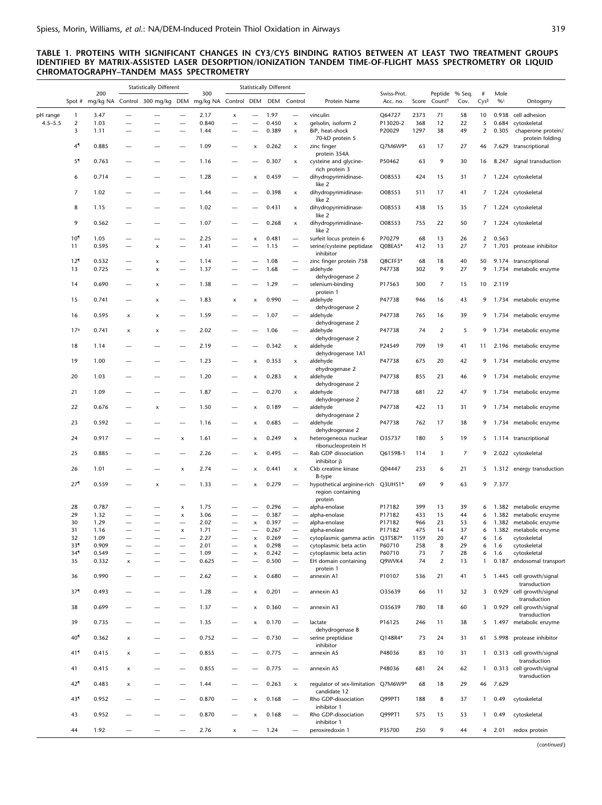#### TABLE 1. PROTEINS WITH SIGNIFICANT CHANGES IN CY3/CY5 BINDING RATIOS BETWEEN AT LEAST TWO TREATMENT GROUPS IDENTIFIED BY MATRIX-ASSISTED LASER DESORPTION/IONIZATION TANDEM TIME-OF-FLIGHT MASS SPECTROMETRY OR LIQUID CHROMATOGRAPHY–TANDEM MASS SPECTROMETRY

|             |                 |               | <b>Statistically Different</b> |                                                            |                |              | <b>Statistically Different</b> |                               |                |                               |                                                            |                         |            |                                      |                |                       |            |                                             |
|-------------|-----------------|---------------|--------------------------------|------------------------------------------------------------|----------------|--------------|--------------------------------|-------------------------------|----------------|-------------------------------|------------------------------------------------------------|-------------------------|------------|--------------------------------------|----------------|-----------------------|------------|---------------------------------------------|
|             |                 | 200           |                                | Spot # mg/kg NA Control 300 mg/kg DEM mg/kg NA Control DEM |                | 300          |                                |                               |                | DEM Control                   | Protein Name                                               | Swiss-Prot.<br>Acc. no. | Score      | Peptide % Seq.<br>Count <sup>†</sup> | Cov.           | #<br>Cys <sup>‡</sup> | Mole<br>%5 | Ontogeny                                    |
| pH range    | 1               | 3.47          |                                |                                                            |                | 2.17         | X                              |                               | 1.97           | -                             | vinculin                                                   | Q64727                  | 2373       | 71                                   | 58             | 10                    |            | 0.938 cell adhesion                         |
| $4.5 - 5.5$ | $\overline{2}$  | 1.03          |                                |                                                            | $\equiv$       | 0.840        | $\overline{\phantom{0}}$       | $\overline{\phantom{0}}$      | 0.450          | $\boldsymbol{\mathsf{x}}$     | gelsolin, isoform 2                                        | P13020-2                | 368        | 12                                   | 22             | 5                     |            | 0.684 cytoskeletal                          |
|             | 3               | 1.11          |                                |                                                            |                | 1.44         | $\overline{\phantom{0}}$       | ÷,                            | 0.389          | $\pmb{\times}$                | BiP, heat-shock<br>70-kD protein 5                         | P20029                  | 1297       | 38                                   | 49             | $\overline{2}$        |            | 0.305 chaperone protein/<br>protein folding |
|             | 41              | 0.885         |                                |                                                            |                | 1.09         | $\overline{\phantom{0}}$       | $\boldsymbol{\mathsf{x}}$     | 0.262          | x                             | zinc finger<br>protein 354A                                | Q7M6W9*                 | 63         | 17                                   | 27             | 46                    |            | 7.629 transcriptional                       |
|             | 51              | 0.763         |                                |                                                            |                | 1.16         |                                |                               | 0.307          | x                             | cysteine and glycine-                                      | P50462                  | 63         | 9                                    | 30             | 16                    |            | 8.247 signal transduction                   |
|             | 6               | 0.714         |                                |                                                            |                | 1.28         | $\overline{\phantom{0}}$       | $\boldsymbol{\mathsf{x}}$     | 0.459          |                               | rich protein 3<br>dihydropyrimidinase-                     | O08553                  | 424        | 15                                   | 31             | 7                     |            | 1.224 cytoskeletal                          |
|             | $\overline{7}$  | 1.02          |                                |                                                            |                | 1.44         |                                |                               | 0.398          | $\pmb{\times}$                | like 2<br>dihydropyrimidinase-                             | O08553                  | 511        | 17                                   | 41             | 7                     |            | 1.224 cytoskeletal                          |
|             | 8               | 1.15          |                                |                                                            |                | 1.02         |                                |                               | 0.431          | $\pmb{\times}$                | like 2<br>dihydropyrimidinase-                             | O08553                  | 438        | 15                                   | 35             | 7                     |            | 1.224 cytoskeletal                          |
|             | 9               | 0.562         |                                |                                                            |                | 1.07         |                                |                               | 0.268          | $\pmb{\times}$                | like 2<br>dihydropyrimidinase-                             | O08553                  | 755        | 22                                   | 50             | $\overline{7}$        |            | 1.224 cytoskeletal                          |
|             | 10 <sup>1</sup> |               |                                |                                                            |                |              |                                |                               |                |                               | like 2                                                     |                         |            |                                      |                |                       |            |                                             |
|             | 11              | 1.05<br>0.595 |                                | x                                                          |                | 2.25<br>1.41 | $\overline{\phantom{a}}$       | x                             | 0.481<br>1.15  | $\overline{\phantom{0}}$<br>- | surfeit locus protein 6<br>serine/cysteine peptidase       | P70279<br>Q08EA5*       | 68<br>412  | 13<br>13                             | 26<br>27       | 2<br>7                | 0.563      | 1.703 protease inhibitor                    |
|             | 12 <sup>1</sup> | 0.532         |                                | x                                                          |                | 1.14         |                                |                               | 1.08           |                               | inhibitor<br>zinc finger protein 758                       | Q8CFF3*                 | 68         | 18                                   | 40             | 50                    |            | 9.174 transcriptional                       |
|             | 13              | 0.725         |                                | x                                                          |                | 1.37         |                                |                               | 1.68           |                               | aldehyde                                                   | P47738                  | 302        | 9                                    | 27             | 9                     |            | 1.734 metabolic enzyme                      |
|             | 14              | 0.690         |                                | X                                                          |                | 1.38         |                                |                               | 1.29           | —<br>—                        | dehydrogenase 2<br>selenium-binding                        | P17563                  | 300        | $\overline{7}$                       | 15             | 10                    | 2.119      |                                             |
|             | 15              | 0.741         |                                | x                                                          |                | 1.83         | x                              | x                             | 0.990          |                               | protein 1<br>aldehyde                                      | P47738                  | 946        | 16                                   | 43             | 9                     |            | 1.734 metabolic enzyme                      |
|             |                 |               |                                |                                                            |                |              |                                |                               |                |                               | dehydrogenase 2                                            |                         |            |                                      |                |                       |            |                                             |
|             | 16              | 0.595         | X                              | X                                                          |                | 1.59         |                                |                               | 1.07           |                               | aldehyde<br>dehydrogenase 2                                | P47738                  | 765        | 16                                   | 39             | 9                     |            | 1.734 metabolic enzyme                      |
|             | 17 <sup>a</sup> | 0.741         | $\boldsymbol{\mathsf{x}}$      | x                                                          |                | 2.02         |                                |                               | 1.06           |                               | aldehyde<br>dehydrogenase 2                                | P47738                  | 74         | $\overline{2}$                       | 5              | 9                     |            | 1.734 metabolic enzyme                      |
|             | 18              | 1.14          |                                |                                                            |                | 2.19         |                                |                               | 0.342          | $\pmb{\times}$                | aldehyde<br>dehydrogenase 1A1                              | P24549                  | 709        | 19                                   | 41             | 11                    |            | 2.196 metabolic enzyme                      |
|             | 19              | 1.00          |                                |                                                            |                | 1.23         |                                | x                             | 0.353          | x                             | aldehyde<br>ehydrogenase 2                                 | P47738                  | 675        | 20                                   | 42             | 9                     |            | 1.734 metabolic enzyme                      |
|             | 20              | 1.03          |                                |                                                            |                | 1.20         |                                | x                             | 0.283          | $\pmb{\times}$                | aldehyde                                                   | P47738                  | 855        | 23                                   | 46             | 9                     |            | 1.734 metabolic enzyme                      |
|             | 21              | 1.09          |                                |                                                            |                | 1.87         |                                |                               | 0.270          | x                             | dehydrogenase 2<br>aldehyde                                | P47738                  | 681        | 22                                   | 47             | 9                     |            | 1.734 metabolic enzyme                      |
|             | 22              | 0.676         |                                | X                                                          |                | 1.50         |                                | x                             | 0.189          | $\overline{\phantom{0}}$      | dehydrogenase 2<br>aldehyde                                | P47738                  | 422        | 13                                   | 31             | 9                     |            | 1.734 metabolic enzyme                      |
|             | 23              | 0.592         |                                |                                                            |                | 1.16         |                                | x                             | 0.685          |                               | dehydrogenase 2<br>aldehyde                                | P47738                  | 762        | 17                                   | 38             | 9                     |            | 1.734 metabolic enzyme                      |
|             | 24              | 0.917         |                                |                                                            | x              | 1.61         |                                | x                             | 0.249          | x                             | dehydrogenase 2<br>heterogeneous nuclear                   | 035737                  | 180        | 5                                    | 19             | 5                     |            | 1.114 transcriptional                       |
|             | 25              | 0.885         |                                |                                                            |                | 2.26         |                                | x                             | 0.495          |                               | ribonucleoprotein H<br>Rab GDP dissociation                | Q61598-1                | 114        | 3                                    | $\overline{7}$ | 9                     |            | 2.022 cytoskeletal                          |
|             |                 |               |                                |                                                            |                |              |                                |                               |                |                               | inhibitor $\beta$                                          |                         |            |                                      |                |                       |            |                                             |
|             | 26              | 1.01          |                                |                                                            | x              | 2.74         |                                | x                             | 0.441          | $\pmb{\times}$                | Ckb creatine kinase<br>B-type                              | Q04447                  | 233        | 6                                    | 21             | 5                     |            | 1.312 energy transduction                   |
|             | 27 <sup>1</sup> | 0.559         |                                | X                                                          |                | 1.33         |                                | x                             | 0.279          | $\overline{\phantom{0}}$      | hypothetical arginine-rich<br>region containing<br>protein | Q3UHS1*                 | 69         | 9                                    | 63             | 9                     | 7.377      |                                             |
|             | 28              | 0.787         |                                |                                                            | x              | 1.75         | $\overline{\phantom{0}}$       |                               | 0.296          | -                             | alpha-enolase                                              | P17182                  | 399        | 13                                   | 39             | 6                     |            | 1.382 metabolic enzyme                      |
|             | 29              | 1.32          |                                |                                                            | $\pmb{\times}$ | 3.06         |                                |                               | 0.387          |                               | alpha-enolase                                              | P17182                  | 433        | 15                                   | 44             | 6                     |            | 1.382 metabolic enzyme                      |
|             | 30<br>31        | 1.29<br>1.16  |                                |                                                            |                | 2.02<br>1.71 |                                | $\pmb{\mathsf{x}}$            | 0.397<br>0.267 |                               | alpha-enolase                                              | P17182<br>P17182        | 966<br>475 | 23<br>14                             | 53<br>37       | 6                     | 1.382      | metabolic enzyme                            |
|             | 32              | 1.09          | $\overline{\phantom{a}}$       | $\overline{\phantom{a}}$                                   | $\pmb{\times}$ | 2.27         | $\overline{\phantom{0}}$       | $\overline{\phantom{0}}$<br>x | 0.269          | $\frac{1}{2}$                 | alpha-enolase<br>cytoplasmic gamma actin                   | Q3TSB7*                 | 1159       | 20                                   | 47             | 6<br>6                | 1.6        | 1.382 metabolic enzyme<br>cytoskeletal      |
|             | 331             | 0.909         |                                |                                                            |                | 2.01         |                                | x                             | 0.298          |                               | cytoplasmic beta actin                                     | P60710                  | 258        | 8                                    | 29             | 6                     | 1.6        | cytoskeletal                                |
|             | 341             | 0.549         |                                |                                                            |                | 1.09         | -                              | $\pmb{\times}$                | 0.242          | $\equiv$                      | cytoplasmic beta actin                                     | P60710                  | 73         | $\overline{7}$                       | 28             | 6                     | 1.6        | cytoskeletal                                |
|             | 35              | 0.332         | $\pmb{\times}$                 |                                                            |                | 0.625        |                                |                               | 0.500          | $\overline{\phantom{0}}$      | EH domain containing<br>protein 1                          | Q9WVK4                  | 74         | $\overline{2}$                       | 13             | $\mathbf{1}$          | 0.187      | endosomal transport                         |
|             | 36              | 0.990         |                                |                                                            |                | 2.62         | $\overline{\phantom{0}}$       | x                             | 0.680          |                               | annexin A1                                                 | P10107                  | 536        | 21                                   | 41             | 5                     |            | 1.445 cell growth/signal<br>transduction    |
|             | 371             | 0.493         |                                |                                                            |                | 1.28         |                                | $\pmb{\mathsf{x}}$            | 0.201          | $\overline{\phantom{0}}$      | annexin A3                                                 | O35639                  | 66         | 11                                   | 32             | 3                     |            | 0.929 cell growth/signal<br>transduction    |
|             | 38              | 0.699         |                                |                                                            |                | 1.37         |                                | x                             | 0.360          | $\overline{\phantom{a}}$      | annexin A3                                                 | 035639                  | 780        | 18                                   | 60             | 3                     |            | 0.929 cell growth/signal                    |
|             | 39              | 0.735         |                                |                                                            |                | 1.35         |                                | $\pmb{\times}$                | 0.170          |                               | lactate                                                    | P16125                  | 246        | 11                                   | 38             | 5                     |            | transduction<br>1.497 metabolic enzyme      |
|             | 40 <sup>1</sup> | 0.362         | x                              |                                                            |                | 0.752        |                                |                               | 0.730          |                               | dehydrogenase B<br>serine preptidase                       | Q148R4*                 | 73         | 24                                   | 31             | 61                    |            | 5.998 protease inhibitor                    |
|             | 411             | 0.415         | $\pmb{\times}$                 |                                                            |                | 0.855        |                                |                               | 0.775          | $\overline{\phantom{a}}$      | inhibitor<br>annexin A5                                    | P48036                  | 83         | 10                                   | 31             | $\mathbf{1}$          |            | 0.313 cell growth/signal                    |
|             | 41              | 0.415         | $\pmb{\times}$                 |                                                            |                | 0.855        |                                |                               | 0.775          | $\qquad \qquad -$             | annexin A5                                                 | P48036                  | 681        | 24                                   | 62             | $\mathbf{1}$          |            | transduction<br>0.313 cell growth/signal    |
|             | 421             | 0.483         | $\pmb{\times}$                 |                                                            |                | 1.44         |                                |                               | 0.263          | $\pmb{\times}$                | regulator of sex-limitation                                | Q7M6W9*                 | 68         | 18                                   | 29             |                       | 46 7.629   | transduction                                |
|             | 43 <sup>9</sup> | 0.952         |                                |                                                            |                | 0.870        |                                | x                             | 0.168          |                               | candidate 12<br>Rho GDP-dissociation                       | Q99PT1                  | 188        | 8                                    | 37             | $\mathbf{1}$          | 0.49       | cytoskeletal                                |
|             |                 |               |                                |                                                            |                |              |                                |                               |                |                               | inhibitor 1                                                |                         |            |                                      |                |                       |            |                                             |
|             | 43              | 0.952         |                                |                                                            |                | 0.870        |                                | x                             | 0.168          |                               | Rho GDP-dissociation<br>inhibitor 1                        | Q99PT1                  | 575        | 15                                   | 53             | $\mathbf{1}$          | 0.49       | cytoskeletal                                |
|             | 44              | 1.92          |                                |                                                            |                | 2.76         | $\pmb{\times}$                 | $\overline{\phantom{0}}$      | 1.24           | $\qquad \qquad -$             | peroxiredoxin 1                                            | P35700                  | 250        | 9                                    | 44             | $\overline{4}$        | 2.01       | redox protein                               |

(continued )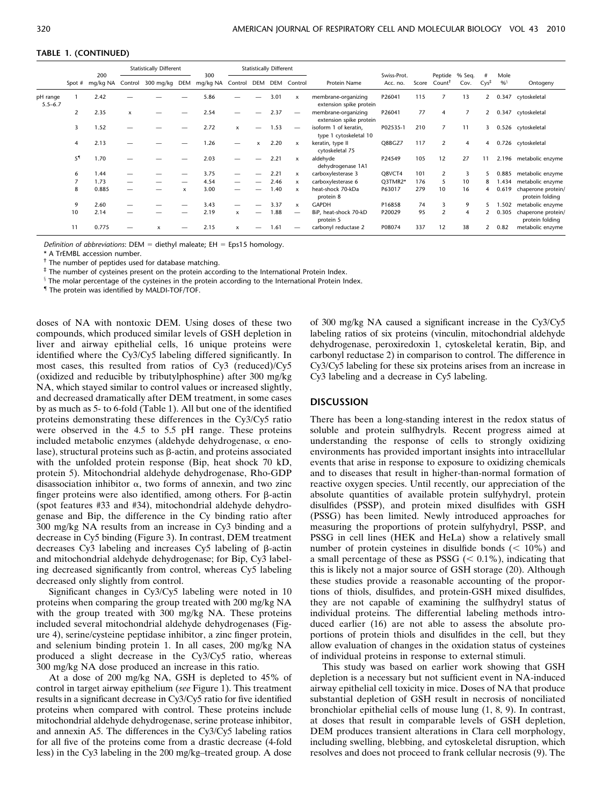# TABLE 1. (CONTINUED)

|                         |                          |       | <b>Statistically Different</b> |               |   |                 | <b>Statistically Different</b> |     |      |              |                                                 |                         |       |                    |                        |                         |            |                                       |
|-------------------------|--------------------------|-------|--------------------------------|---------------|---|-----------------|--------------------------------|-----|------|--------------|-------------------------------------------------|-------------------------|-------|--------------------|------------------------|-------------------------|------------|---------------------------------------|
|                         | 200<br>Spot $#$ mg/kg NA |       | Control                        | 300 mg/kg DEM |   | 300<br>mg/kg NA | Control                        | DEM |      | DEM Control  | Protein Name                                    | Swiss-Prot.<br>Acc. no. | Score | Count <sup>†</sup> | Peptide % Seq.<br>Cov. | #<br>$Cys^{\ddagger}$   | Mole<br>%5 | Ontogeny                              |
| pH range<br>$5.5 - 6.7$ |                          | 2.42  |                                |               |   | 5.86            |                                |     | 3.01 | $\mathsf{x}$ | membrane-organizing<br>extension spike protein  | P26041                  | 115   |                    | 13                     |                         | 0.347      | cytoskeletal                          |
|                         | $\overline{2}$           | 2.35  | x                              |               |   | 2.54            |                                |     | 2.37 |              | membrane-organizing<br>extension spike protein  | P26041                  | 77    | $\overline{4}$     |                        | $\overline{2}$          |            | 0.347 cytoskeletal                    |
|                         | 3                        | 1.52  |                                |               |   | 2.72            | x                              |     | 1.53 |              | isoform 1 of keratin.<br>type 1 cytoskeletal 10 | P02535-1                | 210   |                    | 11                     | $\overline{\mathbf{3}}$ |            | 0.526 cytoskeletal                    |
|                         | $\overline{4}$           | 2.13  |                                |               |   | 1.26            |                                | x   | 2.20 | $\mathsf{x}$ | keratin, type II<br>cytoskeletal 75             | Q8BGZ7                  | 117   | 2                  | 4                      | 4                       |            | 0.726 cytoskeletal                    |
|                         | 51                       | 1.70  |                                |               |   | 2.03            |                                |     | 2.21 | $\mathsf{x}$ | aldehyde<br>dehydrogenase 1A1                   | P24549                  | 105   | 12                 | 27                     | 11                      |            | 2.196 metabolic enzyme                |
|                         | 6                        | 1.44  |                                |               |   | 3.75            |                                |     | 2.21 | $\mathsf{x}$ | carboxylesterase 3                              | Q8VCT4                  | 101   | 2                  | 3                      |                         | 0.885      | metabolic enzyme                      |
|                         |                          | 1.73  |                                |               |   | 4.54            |                                |     | 2.46 | $\mathsf{x}$ | carboxylesterase 6                              | Q3TMR2*                 | 176   | 5                  | 10                     | 8                       | .434       | metabolic enzyme                      |
|                         | 8                        | 0.885 |                                |               | x | 3.00            |                                |     | 1.40 | $\mathbf{x}$ | heat-shock 70-kDa<br>protein 8                  | P63017                  | 279   | 10                 | 16                     | 4                       | 0.619      | chaperone protein/<br>protein folding |
|                         | 9                        | 2.60  |                                |               |   | 3.43            |                                |     | 3.37 | $\mathsf{x}$ | <b>GAPDH</b>                                    | P16858                  | 74    | 3                  | 9                      |                         | .502       | metabolic enzyme                      |
|                         | 10                       | 2.14  |                                |               |   | 2.19            | $\mathsf{x}$                   |     | 1.88 |              | BiP, heat-shock 70-kD<br>protein 5              | P20029                  | 95    | $\overline{2}$     | 4                      |                         | 0.305      | chaperone protein/<br>protein folding |
|                         | 11                       | 0.775 |                                |               |   | 2.15            | x                              |     | 1.61 |              | carbonyl reductase 2                            | P08074                  | 337   | 12                 | 38                     |                         | 0.82       | metabolic enzyme                      |

Definition of abbreviations: DEM = diethyl maleate; EH = Eps15 homology.

\* A TrEMBL accession number.

† The number of peptides used for database matching.

‡ The number of cysteines present on the protein according to the International Protein Index.

 $\frac{1}{3}$  The molar percentage of the cysteines in the protein according to the International Protein Index.

{ The protein was identified by MALDI-TOF/TOF.

doses of NA with nontoxic DEM. Using doses of these two compounds, which produced similar levels of GSH depletion in liver and airway epithelial cells, 16 unique proteins were identified where the Cy3/Cy5 labeling differed significantly. In most cases, this resulted from ratios of Cy3 (reduced)/Cy5 (oxidized and reducible by tributylphosphine) after 300 mg/kg NA, which stayed similar to control values or increased slightly, and decreased dramatically after DEM treatment, in some cases by as much as 5- to 6-fold (Table 1). All but one of the identified proteins demonstrating these differences in the Cy3/Cy5 ratio were observed in the 4.5 to 5.5 pH range. These proteins included metabolic enzymes (aldehyde dehydrogenase,  $\alpha$  enolase), structural proteins such as  $\beta$ -actin, and proteins associated with the unfolded protein response (Bip, heat shock 70 kD, protein 5). Mitochondrial aldehyde dehydrogenase, Rho-GDP disassociation inhibitor  $\alpha$ , two forms of annexin, and two zinc finger proteins were also identified, among others. For  $\beta$ -actin (spot features #33 and #34), mitochondrial aldehyde dehydrogenase and Bip, the difference in the Cy binding ratio after 300 mg/kg NA results from an increase in Cy3 binding and a decrease in Cy5 binding (Figure 3). In contrast, DEM treatment decreases  $Cy3$  labeling and increases  $Cy5$  labeling of  $\beta$ -actin and mitochondrial aldehyde dehydrogenase; for Bip, Cy3 labeling decreased significantly from control, whereas Cy5 labeling decreased only slightly from control.

Significant changes in Cy3/Cy5 labeling were noted in 10 proteins when comparing the group treated with 200 mg/kg NA with the group treated with 300 mg/kg NA. These proteins included several mitochondrial aldehyde dehydrogenases (Figure 4), serine/cysteine peptidase inhibitor, a zinc finger protein, and selenium binding protein 1. In all cases, 200 mg/kg NA produced a slight decrease in the Cy3/Cy5 ratio, whereas 300 mg/kg NA dose produced an increase in this ratio.

At a dose of 200 mg/kg NA, GSH is depleted to 45% of control in target airway epithelium (see Figure 1). This treatment results in a significant decrease in Cy3/Cy5 ratio for five identified proteins when compared with control. These proteins include mitochondrial aldehyde dehydrogenase, serine protease inhibitor, and annexin A5. The differences in the Cy3/Cy5 labeling ratios for all five of the proteins come from a drastic decrease (4-fold less) in the Cy3 labeling in the 200 mg/kg–treated group. A dose

of 300 mg/kg NA caused a significant increase in the Cy3/Cy5 labeling ratios of six proteins (vinculin, mitochondrial aldehyde dehydrogenase, peroxiredoxin 1, cytoskeletal keratin, Bip, and carbonyl reductase 2) in comparison to control. The difference in Cy3/Cy5 labeling for these six proteins arises from an increase in Cy3 labeling and a decrease in Cy5 labeling.

## DISCUSSION

There has been a long-standing interest in the redox status of soluble and protein sulfhydryls. Recent progress aimed at understanding the response of cells to strongly oxidizing environments has provided important insights into intracellular events that arise in response to exposure to oxidizing chemicals and to diseases that result in higher-than-normal formation of reactive oxygen species. Until recently, our appreciation of the absolute quantities of available protein sulfyhydryl, protein disulfides (PSSP), and protein mixed disulfides with GSH (PSSG) has been limited. Newly introduced approaches for measuring the proportions of protein sulfyhydryl, PSSP, and PSSG in cell lines (HEK and HeLa) show a relatively small number of protein cysteines in disulfide bonds  $(< 10\%)$  and a small percentage of these as PSSG  $( $0.1\%$ ), indicating that$ this is likely not a major source of GSH storage (20). Although these studies provide a reasonable accounting of the proportions of thiols, disulfides, and protein-GSH mixed disulfides, they are not capable of examining the sulfhydryl status of individual proteins. The differential labeling methods introduced earlier (16) are not able to assess the absolute proportions of protein thiols and disulfides in the cell, but they allow evaluation of changes in the oxidation status of cysteines of individual proteins in response to external stimuli.

This study was based on earlier work showing that GSH depletion is a necessary but not sufficient event in NA-induced airway epithelial cell toxicity in mice. Doses of NA that produce substantial depletion of GSH result in necrosis of nonciliated bronchiolar epithelial cells of mouse lung (1, 8, 9). In contrast, at doses that result in comparable levels of GSH depletion, DEM produces transient alterations in Clara cell morphology, including swelling, blebbing, and cytoskeletal disruption, which resolves and does not proceed to frank cellular necrosis (9). The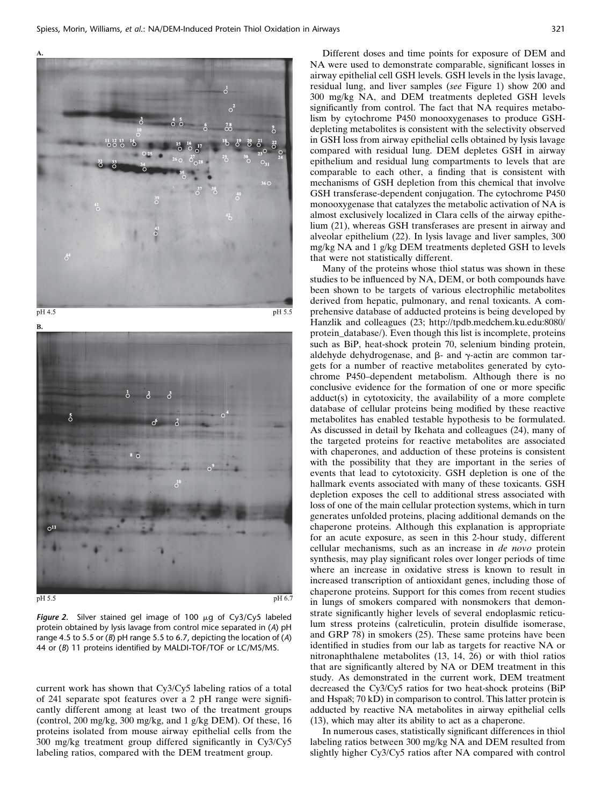



Figure 2. Silver stained gel image of 100  $\mu$ g of Cy3/Cy5 labeled protein obtained by lysis lavage from control mice separated in (A) pH range 4.5 to 5.5 or ( $B$ ) pH range 5.5 to 6.7, depicting the location of ( $A$ ) 44 or (B) 11 proteins identified by MALDI-TOF/TOF or LC/MS/MS.

current work has shown that Cy3/Cy5 labeling ratios of a total of 241 separate spot features over a 2 pH range were significantly different among at least two of the treatment groups (control, 200 mg/kg, 300 mg/kg, and 1 g/kg DEM). Of these, 16 proteins isolated from mouse airway epithelial cells from the 300 mg/kg treatment group differed significantly in Cy3/Cy5 labeling ratios, compared with the DEM treatment group.

Different doses and time points for exposure of DEM and NA were used to demonstrate comparable, significant losses in airway epithelial cell GSH levels. GSH levels in the lysis lavage, residual lung, and liver samples (see Figure 1) show 200 and 300 mg/kg NA, and DEM treatments depleted GSH levels significantly from control. The fact that NA requires metabolism by cytochrome P450 monooxygenases to produce GSHdepleting metabolites is consistent with the selectivity observed in GSH loss from airway epithelial cells obtained by lysis lavage compared with residual lung. DEM depletes GSH in airway epithelium and residual lung compartments to levels that are comparable to each other, a finding that is consistent with mechanisms of GSH depletion from this chemical that involve GSH transferase-dependent conjugation. The cytochrome P450 monooxygenase that catalyzes the metabolic activation of NA is almost exclusively localized in Clara cells of the airway epithelium (21), whereas GSH transferases are present in airway and alveolar epithelium (22). In lysis lavage and liver samples, 300 mg/kg NA and 1 g/kg DEM treatments depleted GSH to levels that were not statistically different.

Many of the proteins whose thiol status was shown in these studies to be influenced by NA, DEM, or both compounds have been shown to be targets of various electrophilic metabolites derived from hepatic, pulmonary, and renal toxicants. A comprehensive database of adducted proteins is being developed by Hanzlik and colleagues (23; http://tpdb.medchem.ku.edu:8080/ protein\_database/). Even though this list is incomplete, proteins such as BiP, heat-shock protein 70, selenium binding protein, aldehyde dehydrogenase, and  $\beta$ - and  $\gamma$ -actin are common targets for a number of reactive metabolites generated by cytochrome P450–dependent metabolism. Although there is no conclusive evidence for the formation of one or more specific adduct(s) in cytotoxicity, the availability of a more complete database of cellular proteins being modified by these reactive metabolites has enabled testable hypothesis to be formulated. As discussed in detail by Ikehata and colleagues (24), many of the targeted proteins for reactive metabolites are associated with chaperones, and adduction of these proteins is consistent with the possibility that they are important in the series of events that lead to cytotoxicity. GSH depletion is one of the hallmark events associated with many of these toxicants. GSH depletion exposes the cell to additional stress associated with loss of one of the main cellular protection systems, which in turn generates unfolded proteins, placing additional demands on the chaperone proteins. Although this explanation is appropriate for an acute exposure, as seen in this 2-hour study, different cellular mechanisms, such as an increase in de novo protein synthesis, may play significant roles over longer periods of time where an increase in oxidative stress is known to result in increased transcription of antioxidant genes, including those of chaperone proteins. Support for this comes from recent studies in lungs of smokers compared with nonsmokers that demonstrate significantly higher levels of several endoplasmic reticulum stress proteins (calreticulin, protein disulfide isomerase, and GRP 78) in smokers (25). These same proteins have been identified in studies from our lab as targets for reactive NA or nitronaphthalene metabolites (13, 14, 26) or with thiol ratios that are significantly altered by NA or DEM treatment in this study. As demonstrated in the current work, DEM treatment decreased the Cy3/Cy5 ratios for two heat-shock proteins (BiP and Hspa8; 70 kD) in comparison to control. This latter protein is adducted by reactive NA metabolites in airway epithelial cells (13), which may alter its ability to act as a chaperone.

In numerous cases, statistically significant differences in thiol labeling ratios between 300 mg/kg NA and DEM resulted from slightly higher Cy3/Cy5 ratios after NA compared with control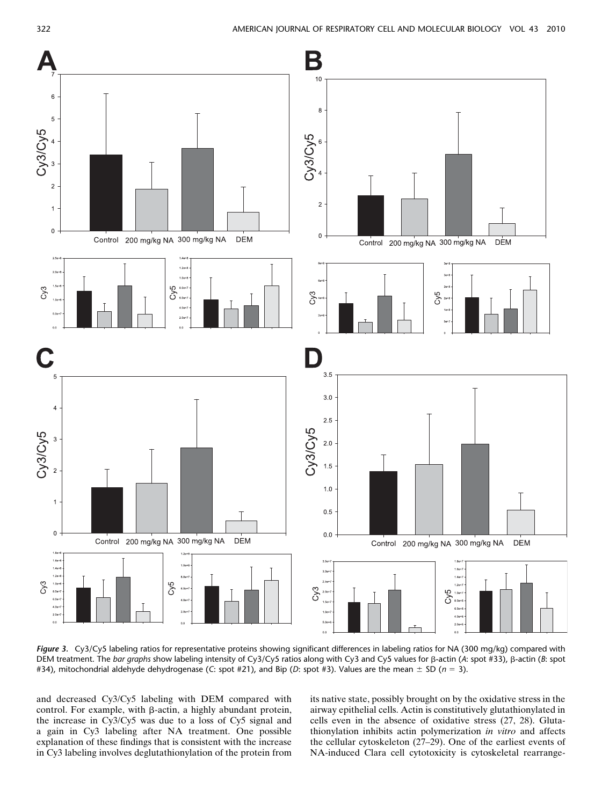

Figure 3. Cy3/Cy5 labeling ratios for representative proteins showing significant differences in labeling ratios for NA (300 mg/kg) compared with DEM treatment. The bar graphs show labeling intensity of Cy3/Cy5 ratios along with Cy3 and Cy5 values for β-actin (A: spot #33), β-actin (B: spot #34), mitochondrial aldehyde dehydrogenase (C: spot #21), and Bip (D: spot #3). Values are the mean  $\pm$  SD (n = 3).

and decreased Cy3/Cy5 labeling with DEM compared with control. For example, with  $\beta$ -actin, a highly abundant protein, the increase in Cy3/Cy5 was due to a loss of Cy5 signal and a gain in Cy3 labeling after NA treatment. One possible explanation of these findings that is consistent with the increase in Cy3 labeling involves deglutathionylation of the protein from its native state, possibly brought on by the oxidative stress in the airway epithelial cells. Actin is constitutively glutathionylated in cells even in the absence of oxidative stress (27, 28). Glutathionylation inhibits actin polymerization in vitro and affects the cellular cytoskeleton (27–29). One of the earliest events of NA-induced Clara cell cytotoxicity is cytoskeletal rearrange-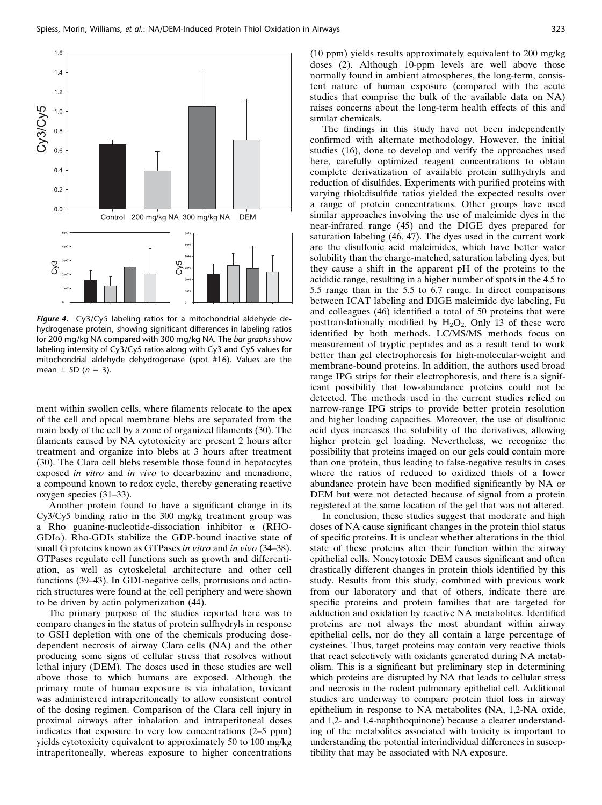

Figure 4. Cy3/Cy5 labeling ratios for a mitochondrial aldehyde dehydrogenase protein, showing significant differences in labeling ratios for 200 mg/kg NA compared with 300 mg/kg NA. The bar graphs show labeling intensity of Cy3/Cy5 ratios along with Cy3 and Cy5 values for mitochondrial aldehyde dehydrogenase (spot #16). Values are the mean  $\pm$  SD ( $n = 3$ ).

ment within swollen cells, where filaments relocate to the apex of the cell and apical membrane blebs are separated from the main body of the cell by a zone of organized filaments (30). The filaments caused by NA cytotoxicity are present 2 hours after treatment and organize into blebs at 3 hours after treatment (30). The Clara cell blebs resemble those found in hepatocytes exposed in vitro and in vivo to decarbazine and menadione, a compound known to redox cycle, thereby generating reactive oxygen species (31–33).

Another protein found to have a significant change in its Cy3/Cy5 binding ratio in the 300 mg/kg treatment group was a Rho guanine-nucleotide-dissociation inhibitor  $\alpha$  (RHO- $GDI\alpha$ ). Rho-GDIs stabilize the GDP-bound inactive state of small G proteins known as GTPases in vitro and in vivo (34–38). GTPases regulate cell functions such as growth and differentiation, as well as cytoskeletal architecture and other cell functions (39–43). In GDI-negative cells, protrusions and actinrich structures were found at the cell periphery and were shown to be driven by actin polymerization (44).

The primary purpose of the studies reported here was to compare changes in the status of protein sulfhydryls in response to GSH depletion with one of the chemicals producing dosedependent necrosis of airway Clara cells (NA) and the other producing some signs of cellular stress that resolves without lethal injury (DEM). The doses used in these studies are well above those to which humans are exposed. Although the primary route of human exposure is via inhalation, toxicant was administered intraperitoneally to allow consistent control of the dosing regimen. Comparison of the Clara cell injury in proximal airways after inhalation and intraperitoneal doses indicates that exposure to very low concentrations (2–5 ppm) yields cytotoxicity equivalent to approximately 50 to 100 mg/kg intraperitoneally, whereas exposure to higher concentrations

(10 ppm) yields results approximately equivalent to 200 mg/kg doses (2). Although 10-ppm levels are well above those normally found in ambient atmospheres, the long-term, consistent nature of human exposure (compared with the acute studies that comprise the bulk of the available data on NA) raises concerns about the long-term health effects of this and similar chemicals.

The findings in this study have not been independently confirmed with alternate methodology. However, the initial studies (16), done to develop and verify the approaches used here, carefully optimized reagent concentrations to obtain complete derivatization of available protein sulfhydryls and reduction of disulfides. Experiments with purified proteins with varying thiol:disulfide ratios yielded the expected results over a range of protein concentrations. Other groups have used similar approaches involving the use of maleimide dyes in the near-infrared range (45) and the DIGE dyes prepared for saturation labeling (46, 47). The dyes used in the current work are the disulfonic acid maleimides, which have better water solubility than the charge-matched, saturation labeling dyes, but they cause a shift in the apparent pH of the proteins to the acididic range, resulting in a higher number of spots in the 4.5 to 5.5 range than in the 5.5 to 6.7 range. In direct comparisons between ICAT labeling and DIGE maleimide dye labeling, Fu and colleagues (46) identified a total of 50 proteins that were posttranslationally modified by  $H_2O_2$ . Only 13 of these were identified by both methods. LC/MS/MS methods focus on measurement of tryptic peptides and as a result tend to work better than gel electrophoresis for high-molecular-weight and membrane-bound proteins. In addition, the authors used broad range IPG strips for their electrophoresis, and there is a significant possibility that low-abundance proteins could not be detected. The methods used in the current studies relied on narrow-range IPG strips to provide better protein resolution and higher loading capacities. Moreover, the use of disulfonic acid dyes increases the solubility of the derivatives, allowing higher protein gel loading. Nevertheless, we recognize the possibility that proteins imaged on our gels could contain more than one protein, thus leading to false-negative results in cases where the ratios of reduced to oxidized thiols of a lower abundance protein have been modified significantly by NA or DEM but were not detected because of signal from a protein registered at the same location of the gel that was not altered.

In conclusion, these studies suggest that moderate and high doses of NA cause significant changes in the protein thiol status of specific proteins. It is unclear whether alterations in the thiol state of these proteins alter their function within the airway epithelial cells. Noncytotoxic DEM causes significant and often drastically different changes in protein thiols identified by this study. Results from this study, combined with previous work from our laboratory and that of others, indicate there are specific proteins and protein families that are targeted for adduction and oxidation by reactive NA metabolites. Identified proteins are not always the most abundant within airway epithelial cells, nor do they all contain a large percentage of cysteines. Thus, target proteins may contain very reactive thiols that react selectively with oxidants generated during NA metabolism. This is a significant but preliminary step in determining which proteins are disrupted by NA that leads to cellular stress and necrosis in the rodent pulmonary epithelial cell. Additional studies are underway to compare protein thiol loss in airway epithelium in response to NA metabolites (NA, 1,2-NA oxide, and 1,2- and 1,4-naphthoquinone) because a clearer understanding of the metabolites associated with toxicity is important to understanding the potential interindividual differences in susceptibility that may be associated with NA exposure.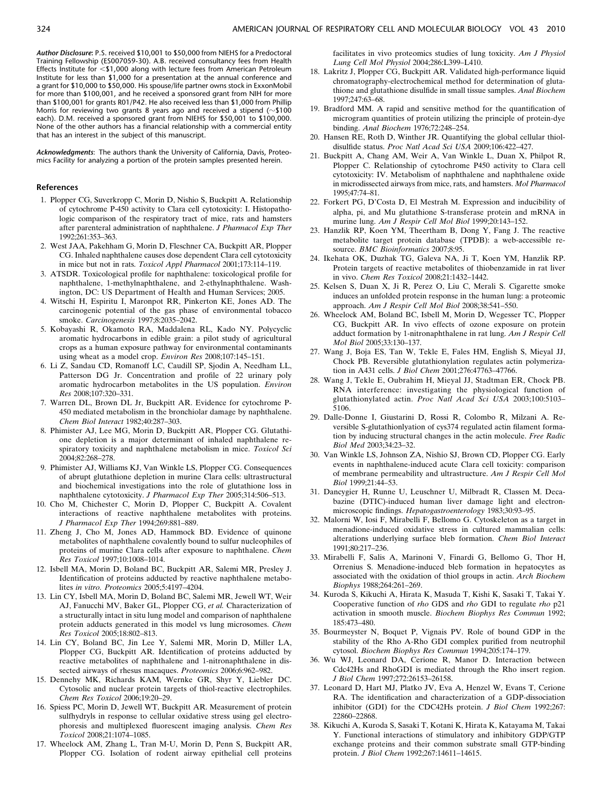Author Disclosure: P.S. received \$10,001 to \$50,000 from NIEHS for a Predoctoral Training Fellowship (ES007059-30). A.B. received consultancy fees from Health Effects Institute for  $<$  \$1,000 along with lecture fees from American Petroleum Institute for less than \$1,000 for a presentation at the annual conference and a grant for \$10,000 to \$50,000. His spouse/life partner owns stock in ExxonMobil for more than \$100,001, and he received a sponsored grant from NIH for more than \$100,001 for grants R01/P42. He also received less than \$1,000 from Phillip Morris for reviewing two grants 8 years ago and received a stipend ( $\sim$ \$100 each). D.M. received a sponsored grant from NIEHS for \$50,001 to \$100,000. None of the other authors has a financial relationship with a commercial entity that has an interest in the subject of this manuscript.

Acknowledgments: The authors thank the University of California, Davis, Proteomics Facility for analyzing a portion of the protein samples presented herein.

#### References

- 1. Plopper CG, Suverkropp C, Morin D, Nishio S, Buckpitt A. Relationship of cytochrome P-450 activity to Clara cell cytotoxicity: I. Histopathologic comparison of the respiratory tract of mice, rats and hamsters after parenteral administration of naphthalene. J Pharmacol Exp Ther 1992;261:353–363.
- 2. West JAA, Pakehham G, Morin D, Fleschner CA, Buckpitt AR, Plopper CG. Inhaled naphthalene causes dose dependent Clara cell cytotoxicity in mice but not in rats. Toxicol Appl Pharmacol 2001;173:114–119.
- 3. ATSDR. Toxicological profile for naphthalene: toxicological profile for naphthalene, 1-methylnaphthalene, and 2-ethylnaphthalene. Washington, DC: US Department of Health and Human Services; 2005.
- 4. Witschi H, Espiritu I, Maronpot RR, Pinkerton KE, Jones AD. The carcinogenic potential of the gas phase of environmental tobacco smoke. Carcinogenesis 1997;8:2035–2042.
- 5. Kobayashi R, Okamoto RA, Maddalena RL, Kado NY. Polycyclic aromatic hydrocarbons in edible grain: a pilot study of agricultural crops as a human exposure pathway for environmental contaminants using wheat as a model crop. Environ Res 2008;107:145–151.
- 6. Li Z, Sandau CD, Romanoff LC, Caudill SP, Sjodin A, Needham LL, Patterson DG Jr. Concentration and profile of 22 urinary poly aromatic hydrocarbon metabolites in the US population. Environ Res 2008;107:320–331.
- 7. Warren DL, Brown DL Jr, Buckpitt AR. Evidence for cytochrome P-450 mediated metabolism in the bronchiolar damage by naphthalene. Chem Biol Interact 1982;40:287–303.
- 8. Phimister AJ, Lee MG, Morin D, Buckpitt AR, Plopper CG. Glutathione depletion is a major determinant of inhaled naphthalene respiratory toxicity and naphthalene metabolism in mice. Toxicol Sci 2004;82:268–278.
- 9. Phimister AJ, Williams KJ, Van Winkle LS, Plopper CG. Consequences of abrupt glutathione depletion in murine Clara cells: ultrastructural and biochemical investigations into the role of glutathione loss in naphthalene cytotoxicity. J Pharmacol Exp Ther 2005;314:506–513.
- 10. Cho M, Chichester C, Morin D, Plopper C, Buckpitt A. Covalent interactions of reactive naphthalene metabolites with proteins. J Pharmacol Exp Ther 1994;269:881–889.
- 11. Zheng J, Cho M, Jones AD, Hammock BD. Evidence of quinone metabolites of naphthalene covalently bound to sulfur nucleophiles of proteins of murine Clara cells after exposure to naphthalene. Chem Res Toxicol 1997;10:1008–1014.
- 12. Isbell MA, Morin D, Boland BC, Buckpitt AR, Salemi MR, Presley J. Identification of proteins adducted by reactive naphthalene metabolites in vitro. Proteomics 2005;5:4197–4204.
- 13. Lin CY, Isbell MA, Morin D, Boland BC, Salemi MR, Jewell WT, Weir AJ, Fanucchi MV, Baker GL, Plopper CG, et al. Characterization of a structurally intact in situ lung model and comparison of naphthalene protein adducts generated in this model vs lung microsomes. Chem Res Toxicol 2005;18:802–813.
- 14. Lin CY, Boland BC, Jin Lee Y, Salemi MR, Morin D, Miller LA, Plopper CG, Buckpitt AR. Identification of proteins adducted by reactive metabolites of naphthalene and 1-nitronaphthalene in dissected airways of rhesus macaques. Proteomics 2006;6:962–982.
- 15. Dennehy MK, Richards KAM, Wernke GR, Shyr Y, Liebler DC. Cytosolic and nuclear protein targets of thiol-reactive electrophiles. Chem Res Toxicol 2006;19:20–29.
- 16. Spiess PC, Morin D, Jewell WT, Buckpitt AR. Measurement of protein sulfhydryls in response to cellular oxidative stress using gel electrophoresis and multiplexed fluorescent imaging analysis. Chem Res Toxicol 2008;21:1074–1085.
- 17. Wheelock AM, Zhang L, Tran M-U, Morin D, Penn S, Buckpitt AR, Plopper CG. Isolation of rodent airway epithelial cell proteins

facilitates in vivo proteomics studies of lung toxicity. Am J Physiol Lung Cell Mol Physiol 2004;286:L399–L410.

- 18. Lakritz J, Plopper CG, Buckpitt AR. Validated high-performance liquid chromatography-electrochemical method for determination of glutathione and glutathione disulfide in small tissue samples. Anal Biochem 1997;247:63–68.
- 19. Bradford MM. A rapid and sensitive method for the quantification of microgram quantities of protein utilizing the principle of protein-dye binding. Anal Biochem 1976;72:248–254.
- 20. Hansen RE, Roth D, Winther JR. Quantifying the global cellular thioldisulfide status. Proc Natl Acad Sci USA 2009;106:422–427.
- 21. Buckpitt A, Chang AM, Weir A, Van Winkle L, Duan X, Philpot R, Plopper C. Relationship of cytochrome P450 activity to Clara cell cytotoxicity: IV. Metabolism of naphthalene and naphthalene oxide in microdissected airways from mice, rats, and hamsters. Mol Pharmacol 1995;47:74–81.
- 22. Forkert PG, D'Costa D, El Mestrah M. Expression and inducibility of alpha, pi, and Mu glutathione S-transferase protein and mRNA in murine lung. Am J Respir Cell Mol Biol 1999;20:143–152.
- 23. Hanzlik RP, Koen YM, Theertham B, Dong Y, Fang J. The reactive metabolite target protein database (TPDB): a web-accessible resource. BMC Bioinformatics 2007;8:95.
- 24. Ikehata OK, Duzhak TG, Galeva NA, Ji T, Koen YM, Hanzlik RP. Protein targets of reactive metabolites of thiobenzamide in rat liver in vivo. Chem Res Toxicol 2008;21:1432–1442.
- 25. Kelsen S, Duan X, Ji R, Perez O, Liu C, Merali S. Cigarette smoke induces an unfolded protein response in the human lung: a proteomic approach. Am J Respir Cell Mol Biol 2008;38:541–550.
- 26. Wheelock AM, Boland BC, Isbell M, Morin D, Wegesser TC, Plopper CG, Buckpitt AR. In vivo effects of ozone exposure on protein adduct formation by 1-nitronaphthalene in rat lung. Am J Respir Cell Mol Biol 2005;33:130–137.
- 27. Wang J, Boja ES, Tan W, Tekle E, Fales HM, English S, Mieyal JJ, Chock PB. Reversible glutathionylation regulates actin polymerization in A431 cells. J Biol Chem 2001;276:47763–47766.
- 28. Wang J, Tekle E, Oubrahim H, Mieyal JJ, Stadtman ER, Chock PB. RNA interference: investigating the physiological function of glutathionylated actin. Proc Natl Acad Sci USA 2003;100:5103– 5106.
- 29. Dalle-Donne I, Giustarini D, Rossi R, Colombo R, Milzani A. Reversible S-glutathionlyation of cys374 regulated actin filament formation by inducing structural changes in the actin molecule. Free Radic Biol Med 2003;34:23–32.
- 30. Van Winkle LS, Johnson ZA, Nishio SJ, Brown CD, Plopper CG. Early events in naphthalene-induced acute Clara cell toxicity: comparison of membrane permeability and ultrastructure. Am J Respir Cell Mol Biol 1999;21:44–53.
- 31. Dancygier H, Runne U, Leuschner U, Milbradt R, Classen M. Decabazine (DTIC)-induced human liver damage light and electronmicroscopic findings. Hepatogastroenterology 1983;30:93–95.
- 32. Malorni W, Iosi F, Mirabelli F, Bellomo G. Cytoskeleton as a target in menadione-induced oxidative stress in cultured mammalian cells: alterations underlying surface bleb formation. Chem Biol Interact 1991;80:217–236.
- 33. Mirabelli F, Salis A, Marinoni V, Finardi G, Bellomo G, Thor H, Orrenius S. Menadione-induced bleb formation in hepatocytes as associated with the oxidation of thiol groups in actin. Arch Biochem Biophys 1988;264:261–269.
- 34. Kuroda S, Kikuchi A, Hirata K, Masuda T, Kishi K, Sasaki T, Takai Y. Cooperative function of rho GDS and rho GDI to regulate rho p21 activation in smooth muscle. Biochem Biophys Res Commun 1992; 185:473–480.
- 35. Bourmeyster N, Boquet P, Vignais PV. Role of bound GDP in the stability of the Rho A-Rho GDI complex purified from neutrophil cytosol. Biochem Biophys Res Commun 1994;205:174–179.
- 36. Wu WJ, Leonard DA, Cerione R, Manor D. Interaction between Cdc42Hs and RhoGDI is mediated through the Rho insert region. J Biol Chem 1997;272:26153–26158.
- 37. Leonard D, Hart MJ, Platko JV, Eva A, Henzel W, Evans T, Cerione RA. The identification and characterization of a GDP-dissociation inhibitor (GDI) for the CDC42Hs protein. J Biol Chem 1992;267: 22860–22868.
- 38. Kikuchi A, Kuroda S, Sasaki T, Kotani K, Hirata K, Katayama M, Takai Y. Functional interactions of stimulatory and inhibitory GDP/GTP exchange proteins and their common substrate small GTP-binding protein. J Biol Chem 1992;267:14611–14615.